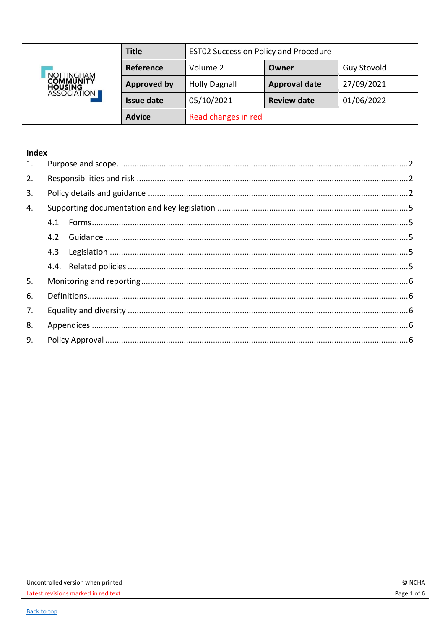<span id="page-0-0"></span>

| <b>NOTTINGHAM</b><br><b>COMMUNITY</b><br><b>HOUSING</b><br>ASSOCIATION | <b>Title</b>       | <b>EST02 Succession Policy and Procedure</b> |                      |                    |
|------------------------------------------------------------------------|--------------------|----------------------------------------------|----------------------|--------------------|
|                                                                        | Reference          | Volume 2                                     | Owner                | <b>Guy Stovold</b> |
|                                                                        | <b>Approved by</b> | <b>Holly Dagnall</b>                         | <b>Approval date</b> | 27/09/2021         |
|                                                                        | <b>Issue date</b>  | 05/10/2021                                   | <b>Review date</b>   | 01/06/2022         |
|                                                                        | <b>Advice</b>      | Read changes in red                          |                      |                    |

# **Index**

| 1. |     |  |
|----|-----|--|
| 2. |     |  |
| 3. |     |  |
| 4. |     |  |
|    | 4.1 |  |
|    | 4.2 |  |
|    | 4.3 |  |
|    |     |  |
| 5. |     |  |
| 6. |     |  |
| 7. |     |  |
| 8. |     |  |
| 9. |     |  |
|    |     |  |

| Uncontrolled version when printed   | R.<br>. NCL                 |
|-------------------------------------|-----------------------------|
| Latest revisions marked in red text | Page $\overline{ }$<br>of 6 |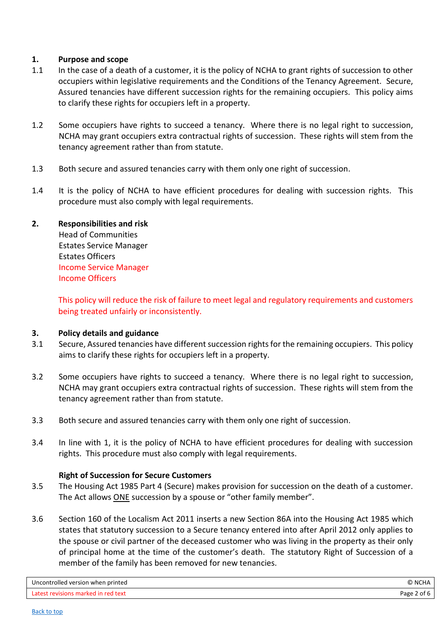## <span id="page-1-0"></span>**1. Purpose and scope**

- 1.1 In the case of a death of a customer, it is the policy of NCHA to grant rights of succession to other occupiers within legislative requirements and the Conditions of the Tenancy Agreement. Secure, Assured tenancies have different succession rights for the remaining occupiers. This policy aims to clarify these rights for occupiers left in a property.
- 1.2 Some occupiers have rights to succeed a tenancy. Where there is no legal right to succession, NCHA may grant occupiers extra contractual rights of succession. These rights will stem from the tenancy agreement rather than from statute.
- 1.3 Both secure and assured tenancies carry with them only one right of succession.
- 1.4 It is the policy of NCHA to have efficient procedures for dealing with succession rights. This procedure must also comply with legal requirements.

## <span id="page-1-1"></span>**2. Responsibilities and risk**

Head of Communities Estates Service Manager Estates Officers Income Service Manager Income Officers

This policy will reduce the risk of failure to meet legal and regulatory requirements and customers being treated unfairly or inconsistently.

#### <span id="page-1-2"></span>**3. Policy details and guidance**

- 3.1 Secure, Assured tenancies have different succession rights for the remaining occupiers. This policy aims to clarify these rights for occupiers left in a property.
- 3.2 Some occupiers have rights to succeed a tenancy. Where there is no legal right to succession, NCHA may grant occupiers extra contractual rights of succession. These rights will stem from the tenancy agreement rather than from statute.
- 3.3 Both secure and assured tenancies carry with them only one right of succession.
- 3.4 In line with 1, it is the policy of NCHA to have efficient procedures for dealing with succession rights. This procedure must also comply with legal requirements.

#### **Right of Succession for Secure Customers**

- 3.5 The Housing Act 1985 Part 4 (Secure) makes provision for succession on the death of a customer. The Act allows ONE succession by a spouse or "other family member".
- 3.6 Section 160 of the Localism Act 2011 inserts a new Section 86A into the Housing Act 1985 which states that statutory succession to a Secure tenancy entered into after April 2012 only applies to the spouse or civil partner of the deceased customer who was living in the property as their only of principal home at the time of the customer's death. The statutory Right of Succession of a member of the family has been removed for new tenancies.

| Uncontrolled version when printed   | © NCHA      |
|-------------------------------------|-------------|
| Latest revisions marked in red text | Page 2 of 6 |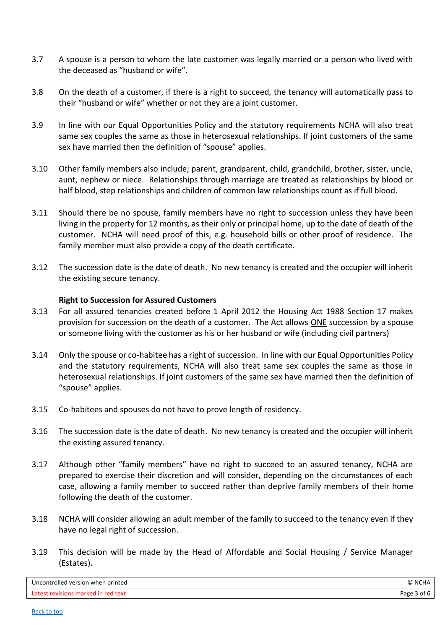- 3.7 A spouse is a person to whom the late customer was legally married or a person who lived with the deceased as "husband or wife".
- 3.8 On the death of a customer, if there is a right to succeed, the tenancy will automatically pass to their "husband or wife" whether or not they are a joint customer.
- 3.9 In line with our Equal Opportunities Policy and the statutory requirements NCHA will also treat same sex couples the same as those in heterosexual relationships. If joint customers of the same sex have married then the definition of "spouse" applies.
- 3.10 Other family members also include; parent, grandparent, child, grandchild, brother, sister, uncle, aunt, nephew or niece. Relationships through marriage are treated as relationships by blood or half blood, step relationships and children of common law relationships count as if full blood.
- 3.11 Should there be no spouse, family members have no right to succession unless they have been living in the property for 12 months, as their only or principal home, up to the date of death of the customer. NCHA will need proof of this, e.g. household bills or other proof of residence. The family member must also provide a copy of the death certificate.
- 3.12 The succession date is the date of death. No new tenancy is created and the occupier will inherit the existing secure tenancy.

## **Right to Succession for Assured Customers**

- 3.13 For all assured tenancies created before 1 April 2012 the Housing Act 1988 Section 17 makes provision for succession on the death of a customer. The Act allows ONE succession by a spouse or someone living with the customer as his or her husband or wife (including civil partners)
- 3.14 Only the spouse or co-habitee has a right of succession. In line with our Equal Opportunities Policy and the statutory requirements, NCHA will also treat same sex couples the same as those in heterosexual relationships. If joint customers of the same sex have married then the definition of "spouse" applies.
- 3.15 Co-habitees and spouses do not have to prove length of residency.
- 3.16 The succession date is the date of death. No new tenancy is created and the occupier will inherit the existing assured tenancy.
- 3.17 Although other "family members" have no right to succeed to an assured tenancy, NCHA are prepared to exercise their discretion and will consider, depending on the circumstances of each case, allowing a family member to succeed rather than deprive family members of their home following the death of the customer.
- 3.18 NCHA will consider allowing an adult member of the family to succeed to the tenancy even if they have no legal right of succession.
- 3.19 This decision will be made by the Head of Affordable and Social Housing / Service Manager (Estates).

| Uncontrolled version when printed   | © NCHA      |
|-------------------------------------|-------------|
| Latest revisions marked in red text | Page 3 of 6 |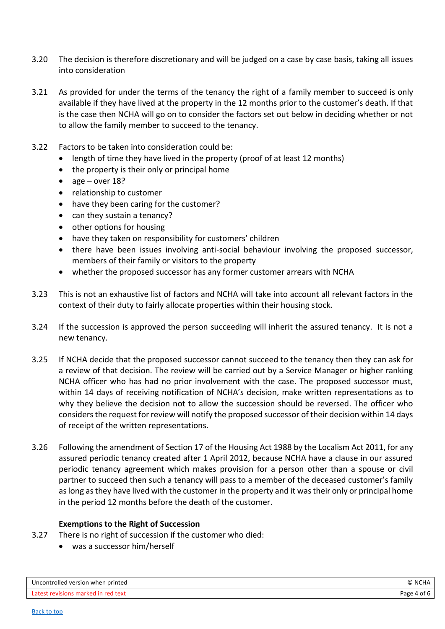- 3.20 The decision is therefore discretionary and will be judged on a case by case basis, taking all issues into consideration
- 3.21 As provided for under the terms of the tenancy the right of a family member to succeed is only available if they have lived at the property in the 12 months prior to the customer's death. If that is the case then NCHA will go on to consider the factors set out below in deciding whether or not to allow the family member to succeed to the tenancy.
- 3.22 Factors to be taken into consideration could be:
	- length of time they have lived in the property (proof of at least 12 months)
	- the property is their only or principal home
	- age over  $18$ ?
	- relationship to customer
	- have they been caring for the customer?
	- can they sustain a tenancy?
	- other options for housing
	- have they taken on responsibility for customers' children
	- there have been issues involving anti-social behaviour involving the proposed successor, members of their family or visitors to the property
	- whether the proposed successor has any former customer arrears with NCHA
- 3.23 This is not an exhaustive list of factors and NCHA will take into account all relevant factors in the context of their duty to fairly allocate properties within their housing stock.
- 3.24 If the succession is approved the person succeeding will inherit the assured tenancy. It is not a new tenancy.
- 3.25 If NCHA decide that the proposed successor cannot succeed to the tenancy then they can ask for a review of that decision. The review will be carried out by a Service Manager or higher ranking NCHA officer who has had no prior involvement with the case. The proposed successor must, within 14 days of receiving notification of NCHA's decision, make written representations as to why they believe the decision not to allow the succession should be reversed. The officer who considers the request for review will notify the proposed successor of their decision within 14 days of receipt of the written representations.
- 3.26 Following the amendment of Section 17 of the Housing Act 1988 by the Localism Act 2011, for any assured periodic tenancy created after 1 April 2012, because NCHA have a clause in our assured periodic tenancy agreement which makes provision for a person other than a spouse or civil partner to succeed then such a tenancy will pass to a member of the deceased customer's family as long as they have lived with the customer in the property and it was their only or principal home in the period 12 months before the death of the customer.

#### **Exemptions to the Right of Succession**

- 3.27 There is no right of succession if the customer who died:
	- was a successor him/herself

| Uncontrolled version when printed<br>$  -$ |            |
|--------------------------------------------|------------|
| nns marken                                 | Page<br>ΩŤ |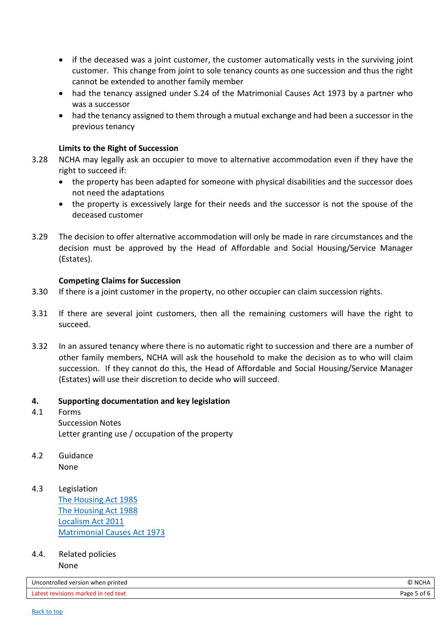- if the deceased was a joint customer, the customer automatically vests in the surviving joint customer. This change from joint to sole tenancy counts as one succession and thus the right cannot be extended to another family member
- had the tenancy assigned under S.24 of the Matrimonial Causes Act 1973 by a partner who was a successor
- had the tenancy assigned to them through a mutual exchange and had been a successor in the previous tenancy

## **Limits to the Right of Succession**

- 3.28 NCHA may legally ask an occupier to move to alternative accommodation even if they have the right to succeed if:
	- the property has been adapted for someone with physical disabilities and the successor does not need the adaptations
	- the property is excessively large for their needs and the successor is not the spouse of the deceased customer
- 3.29 The decision to offer alternative accommodation will only be made in rare circumstances and the decision must be approved by the Head of Affordable and Social Housing/Service Manager (Estates).

#### **Competing Claims for Succession**

- 3.30 If there is a joint customer in the property, no other occupier can claim succession rights.
- 3.31 If there are several joint customers, then all the remaining customers will have the right to succeed.
- 3.32 In an assured tenancy where there is no automatic right to succession and there are a number of other family members, NCHA will ask the household to make the decision as to who will claim succession. If they cannot do this, the Head of Affordable and Social Housing/Service Manager (Estates) will use their discretion to decide who will succeed.

#### <span id="page-4-0"></span>**4. Supporting documentation and key legislation**

- <span id="page-4-1"></span>4.1 Forms Succession Notes Letter granting use / occupation of the property
- <span id="page-4-2"></span>4.2 Guidance None
- <span id="page-4-3"></span>4.3 Legislation [The Housing Act 1985](https://www.legislation.gov.uk/ukpga/1985/68/contents) [The Housing Act 1988](https://www.legislation.gov.uk/ukpga/1988/50/schedule/2) [Localism Act 2011](https://www.gov.uk/government/publications/localism-act-2011-overview) [Matrimonial Causes Act 1973](https://www.legislation.gov.uk/ukpga/1973/18)

#### <span id="page-4-4"></span>4.4. Related policies None

| Uncontrolled version when printed   | © NCHA      |
|-------------------------------------|-------------|
| Latest revisions marked in red text | Page 5 of 6 |